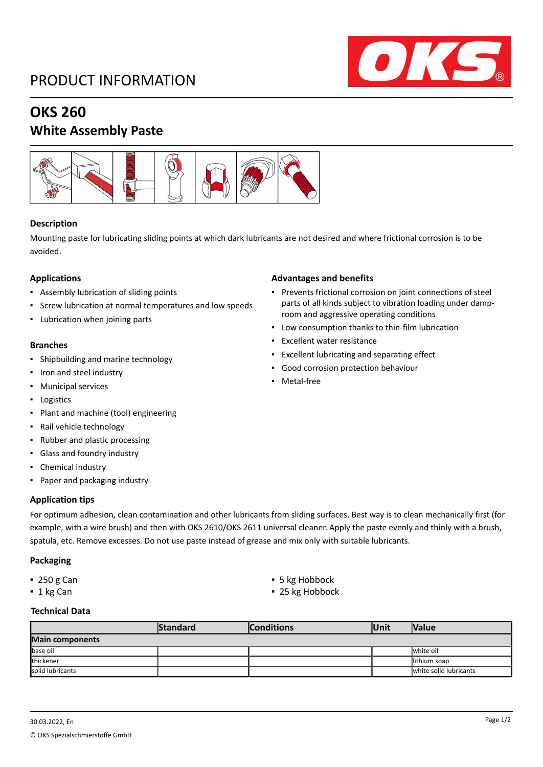## PRODUCT INFORMATION



# **OKS 260**

### **White Assembly Paste**



#### **Description**

Mounting paste for lubricating sliding points at which dark lubricants are not desired and where frictional corrosion is to be avoided.

#### **Applications**

- Assembly lubrication of sliding points
- Screw lubrication at normal temperatures and low speeds
- Lubrication when joining parts

#### **Branches**

- Shipbuilding and marine technology
- Iron and steel industry
- Municipal services
- Logistics
- Plant and machine (tool) engineering
- Rail vehicle technology
- Rubber and plastic processing
- Glass and foundry industry
- Chemical industry
- Paper and packaging industry

#### **Application tips**

For optimum adhesion, clean contamination and other lubricants from sliding surfaces. Best way is to clean mechanically first (for example, with a wire brush) and then with OKS 2610/OKS 2611 universal cleaner. Apply the paste evenly and thinly with a brush, spatula, etc. Remove excesses. Do not use paste instead of grease and mix only with suitable lubricants.

#### **Packaging**

- 
- 
- 250 g Can ■ 5 kg Hobbock
- 1 kg Can **■** 25 kg Hobbock

#### **Technical Data**

|                  | <b>Standard</b> | <b>Conditions</b> | lUnit | <b>Nalue</b>           |  |  |
|------------------|-----------------|-------------------|-------|------------------------|--|--|
| Main components  |                 |                   |       |                        |  |  |
| base oil         |                 |                   |       | <b>I</b> white oil     |  |  |
| thickener        |                 |                   |       | lithium soap           |  |  |
| solid lubricants |                 |                   |       | white solid lubricants |  |  |

#### **Advantages and benefits**

- Prevents frictional corrosion on joint connections of steel parts of all kinds subject to vibration loading under damproom and aggressive operating conditions
- Low consumption thanks to thin-film lubrication
- Excellent water resistance
- Excellent lubricating and separating effect
- Good corrosion protection behaviour
- Metal-free